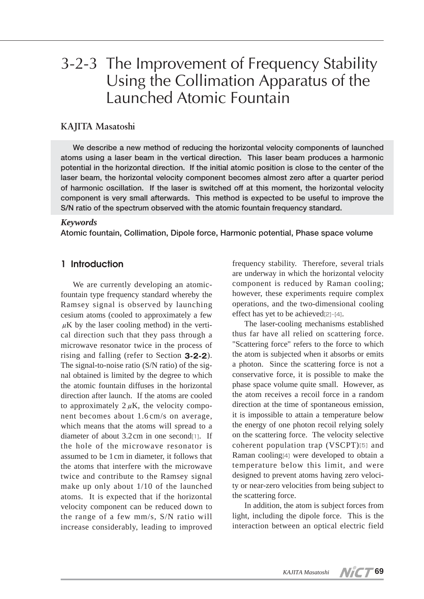# 3-2-3 The Improvement of Frequency Stability Using the Collimation Apparatus of the Launched Atomic Fountain

#### **KAJITA Masatoshi**

**We describe a new method of reducing the horizontal velocity components of launched atoms using a laser beam in the vertical direction. This laser beam produces a harmonic potential in the horizontal direction. If the initial atomic position is close to the center of the laser beam, the horizontal velocity component becomes almost zero after a quarter period of harmonic oscillation. If the laser is switched off at this moment, the horizontal velocity component is very small afterwards. This method is expected to be useful to improve the S/N ratio of the spectrum observed with the atomic fountain frequency standard.**

#### *Keywords*

**Atomic fountain, Collimation, Dipole force, Harmonic potential, Phase space volume**

#### **1 Introduction**

We are currently developing an atomicfountain type frequency standard whereby the Ramsey signal is observed by launching cesium atoms (cooled to approximately a few  $\mu$ K by the laser cooling method) in the vertical direction such that they pass through a microwave resonator twice in the process of rising and falling (refer to Section **3-2-2**). The signal-to-noise ratio (S/N ratio) of the signal obtained is limited by the degree to which the atomic fountain diffuses in the horizontal direction after launch. If the atoms are cooled to approximately  $2 \mu$ K, the velocity component becomes about 1.6cm/s on average, which means that the atoms will spread to a diameter of about  $3.2 \text{ cm}$  in one second $\text{m}$ . If the hole of the microwave resonator is assumed to be 1cm in diameter, it follows that the atoms that interfere with the microwave twice and contribute to the Ramsey signal make up only about 1/10 of the launched atoms. It is expected that if the horizontal velocity component can be reduced down to the range of a few mm/s, S/N ratio will increase considerably, leading to improved

frequency stability. Therefore, several trials are underway in which the horizontal velocity component is reduced by Raman cooling; however, these experiments require complex operations, and the two-dimensional cooling effect has yet to be achieved[2]-[4].

The laser-cooling mechanisms established thus far have all relied on scattering force. "Scattering force" refers to the force to which the atom is subjected when it absorbs or emits a photon. Since the scattering force is not a conservative force, it is possible to make the phase space volume quite small. However, as the atom receives a recoil force in a random direction at the time of spontaneous emission, it is impossible to attain a temperature below the energy of one photon recoil relying solely on the scattering force. The velocity selective coherent population trap (VSCPT)[5] and Raman cooling[4] were developed to obtain a temperature below this limit, and were designed to prevent atoms having zero velocity or near-zero velocities from being subject to the scattering force.

In addition, the atom is subject forces from light, including the dipole force. This is the interaction between an optical electric field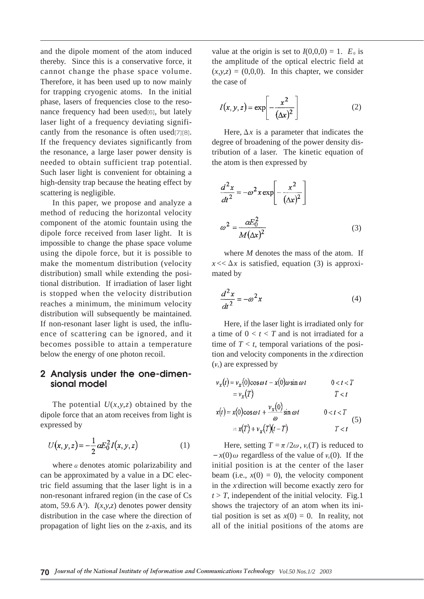and the dipole moment of the atom induced thereby. Since this is a conservative force, it cannot change the phase space volume. Therefore, it has been used up to now mainly for trapping cryogenic atoms. In the initial phase, lasers of frequencies close to the resonance frequency had been used[6], but lately laser light of a frequency deviating significantly from the resonance is often used[7][8]. If the frequency deviates significantly from the resonance, a large laser power density is needed to obtain sufficient trap potential. Such laser light is convenient for obtaining a high-density trap because the heating effect by scattering is negligible.

In this paper, we propose and analyze a method of reducing the horizontal velocity component of the atomic fountain using the dipole force received from laser light. It is impossible to change the phase space volume using the dipole force, but it is possible to make the momentum distribution (velocity distribution) small while extending the positional distribution. If irradiation of laser light is stopped when the velocity distribution reaches a minimum, the minimum velocity distribution will subsequently be maintained. If non-resonant laser light is used, the influence of scattering can be ignored, and it becomes possible to attain a temperature below the energy of one photon recoil.

### **2 Analysis under the one-dimensional model**

The potential  $U(x, y, z)$  obtained by the dipole force that an atom receives from light is expressed by

$$
U(x, y, z) = -\frac{1}{2} \alpha E_0^2 I(x, y, z)
$$
 (1)

where  $\alpha$  denotes atomic polarizability and can be approximated by a value in a DC electric field assuming that the laser light is in a non-resonant infrared region (in the case of Cs atom, 59.6  $A^3$ ).  $I(x, y, z)$  denotes power density distribution in the case where the direction of propagation of light lies on the z-axis, and its

value at the origin is set to  $I(0,0,0) = 1$ .  $E_0$  is the amplitude of the optical electric field at  $(x, y, z) = (0, 0, 0)$ . In this chapter, we consider the case of

$$
I(x, y, z) = \exp\left[-\frac{x^2}{(\Delta x)^2}\right]
$$
 (2)

Here,  $\Delta x$  is a parameter that indicates the degree of broadening of the power density distribution of a laser. The kinetic equation of the atom is then expressed by

$$
\frac{d^2x}{dt^2} = -\omega^2 x \exp\left[-\frac{x^2}{(\Delta x)^2}\right]
$$

$$
\omega^2 = \frac{\alpha E_0^2}{M(\Delta x)^2}
$$
(3)

where *M* denotes the mass of the atom. If  $x \ll \Delta x$  is satisfied, equation (3) is approximated by

$$
\frac{d^2x}{dt^2} = -\omega^2 x\tag{4}
$$

Here, if the laser light is irradiated only for a time of  $0 < t < T$  and is not irradiated for a time of  $T < t$ , temporal variations of the position and velocity components in the *x*-direction (ν*x*) are expressed by

$$
v_x(t) = v_x(0)\cos \omega t - x(0)\omega \sin \omega t \qquad 0 < t < T
$$
  

$$
= v_x(T) \qquad T < t
$$
  

$$
x(t) = x(0)\cos \omega t + \frac{v_x(0)}{\omega} \sin \omega t \qquad 0 < t < T
$$
  

$$
= x(T) + v_x(T)(t - T) \qquad T < t
$$
  
(5)

Here, setting  $T = \pi/2\omega$ ,  $v_x(T)$  is reduced to  $-x(0) \omega$  regardless of the value of  $v_x(0)$ . If the initial position is at the center of the laser beam (i.e.,  $x(0) = 0$ ), the velocity component in the *x*-direction will become exactly zero for  $t > T$ , independent of the initial velocity. Fig.1 shows the trajectory of an atom when its initial position is set as  $x(0) = 0$ . In reality, not all of the initial positions of the atoms are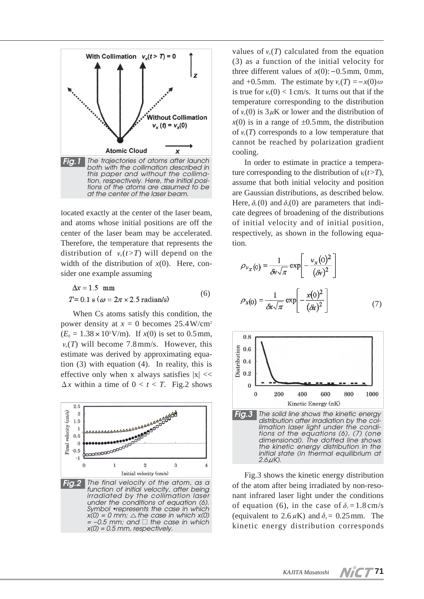

located exactly at the center of the laser beam, and atoms whose initial positions are off the center of the laser beam may be accelerated. Therefore, the temperature that represents the distribution of  $v<sub>x</sub>(t>T)$  will depend on the width of the distribution of  $x(0)$ . Here, consider one example assuming

$$
\Delta x = 1.5 \text{ mm}
$$
  
T = 0.1 s ( $\omega = 2\pi \times 2.5$  radian/s) (6)

When Cs atoms satisfy this condition, the power density at  $x = 0$  becomes  $25.4 \text{W/cm}^2$  $(E_0 = 1.38 \times 10^5 \text{ V/m})$ . If  $x(0)$  is set to 0.5 mm,  $v_x(T)$  will become 7.8mm/s. However, this estimate was derived by approximating equation (3) with equation (4). In reality, this is effective only when x always satisfies  $|x| \ll$  $\Delta x$  within a time of  $0 < t < T$ . Fig.2 shows



values of  $v_r(T)$  calculated from the equation (3) as a function of the initial velocity for three different values of  $x(0)$ :  $-0.5$ mm, 0mm, and  $+0.5$ mm. The estimate by  $v_r(T) = -x(0)\omega$ is true for  $v_x(0) < 1$  cm/s. It turns out that if the temperature corresponding to the distribution of  $v_r(0)$  is  $3\mu$ K or lower and the distribution of  $x(0)$  is in a range of  $\pm 0.5$  mm, the distribution of  $v_x(T)$  corresponds to a low temperature that cannot be reached by polarization gradient cooling.

In order to estimate in practice a temperature corresponding to the distribution of  $v_x(t>T)$ , assume that both initial velocity and position are Gaussian distributions, as described below. Here,  $\delta_{\nu}(0)$  and  $\delta_{\nu}(0)$  are parameters that indicate degrees of broadening of the distributions of initial velocity and of initial position, respectively, as shown in the following equation.

$$
\rho_{v_x}(0) = \frac{1}{\delta v \sqrt{\pi}} \exp\left[-\frac{v_x(0)^2}{(\delta v)^2}\right]
$$

$$
\rho_x(0) = \frac{1}{\delta x \sqrt{\pi}} \exp\left[-\frac{x(0)^2}{(\delta x)^2}\right]
$$
(7)



Fig.3 shows the kinetic energy distribution of the atom after being irradiated by non-resonant infrared laser light under the conditions of equation (6), in the case of  $\delta_{\nu} = 1.8 \text{ cm/s}$ (equivalent to  $2.6 \mu K$ ) and  $\delta_x = 0.25$  mm. The kinetic energy distribution corresponds

**71**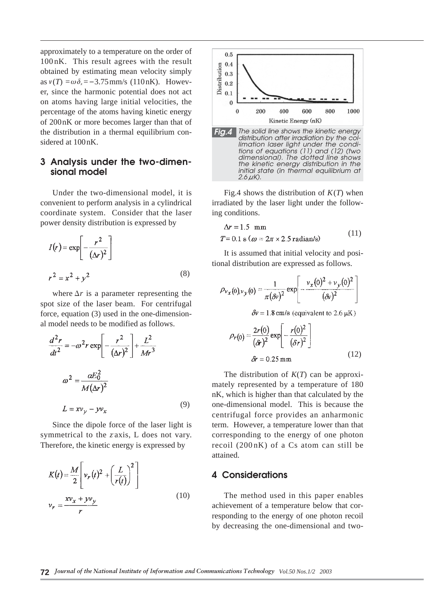approximately to a temperature on the order of 100nK. This result agrees with the result obtained by estimating mean velocity simply as  $v(T) = \omega \delta_x = -3.75$  mm/s (110 nK). However, since the harmonic potential does not act on atoms having large initial velocities, the percentage of the atoms having kinetic energy of 200nK or more becomes larger than that of the distribution in a thermal equilibrium considered at 100nK.

# **3 Analysis under the two-dimensional model**

Under the two-dimensional model, it is convenient to perform analysis in a cylindrical coordinate system. Consider that the laser power density distribution is expressed by

$$
I(r) = \exp\left[-\frac{r^2}{(\Delta r)^2}\right]
$$
  

$$
r^2 = x^2 + y^2
$$
 (8)

where  $\Delta r$  is a parameter representing the spot size of the laser beam. For centrifugal force, equation (3) used in the one-dimensional model needs to be modified as follows.

$$
\frac{d^2r}{dt^2} = -\omega^2 r \exp\left[-\frac{r^2}{(\Delta r)^2}\right] + \frac{L^2}{Mr^3}
$$

$$
\omega^2 = \frac{\omega E_0^2}{M(\Delta r)^2}
$$

$$
L = xv_y - yv_x \tag{9}
$$

Since the dipole force of the laser light is symmetrical to the *z* axis, L does not vary. Therefore, the kinetic energy is expressed by

$$
K(t) = \frac{M}{2} \left[ v_r(t)^2 + \left(\frac{L}{r(t)}\right)^2 \right]
$$
  

$$
v_r = \frac{xv_x + yv_y}{r}
$$
 (10)



Fig.4 shows the distribution of  $K(T)$  when irradiated by the laser light under the following conditions.

$$
\Delta r = 1.5 \text{ mm}
$$
  
T = 0.1 s ( $\omega = 2\pi \times 2.5 \text{ radian/s}$ ) (11)

It is assumed that initial velocity and positional distribution are expressed as follows.

$$
\rho_{v_X}(0) v_Y(0) = \frac{1}{\pi (\delta v)^2} \exp\left[-\frac{v_X(0)^2 + v_Y(0)^2}{(\delta v)^2}\right]
$$

$$
\delta v = 1.8 \text{ cm/s (equivalent to 2.6 }\mu\text{K})
$$

$$
\rho_r(0) = \frac{2r(0)}{(\delta r)^2} \exp\left[-\frac{r(0)^2}{(\delta r)^2}\right]
$$
(12)

$$
\delta r = 0.25 \,\mathrm{mm} \tag{12}
$$

The distribution of *K*(*T*) can be approximately represented by a temperature of 180 nK, which is higher than that calculated by the one-dimensional model. This is because the centrifugal force provides an anharmonic term. However, a temperature lower than that corresponding to the energy of one photon recoil (200nK) of a Cs atom can still be attained.

#### **4 Considerations**

The method used in this paper enables achievement of a temperature below that corresponding to the energy of one photon recoil by decreasing the one-dimensional and two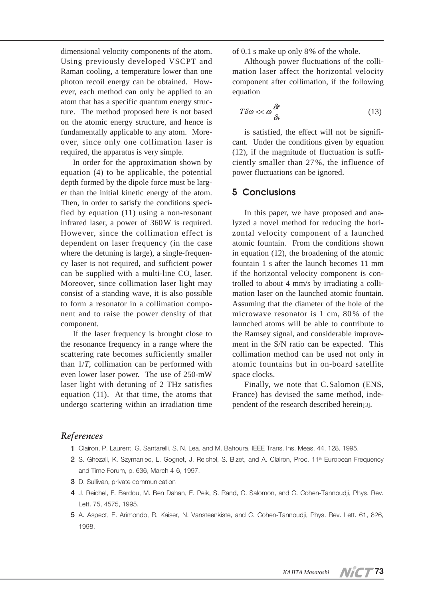dimensional velocity components of the atom. Using previously developed VSCPT and Raman cooling, a temperature lower than one photon recoil energy can be obtained. However, each method can only be applied to an atom that has a specific quantum energy structure. The method proposed here is not based on the atomic energy structure, and hence is fundamentally applicable to any atom. Moreover, since only one collimation laser is required, the apparatus is very simple.

In order for the approximation shown by equation (4) to be applicable, the potential depth formed by the dipole force must be larger than the initial kinetic energy of the atom. Then, in order to satisfy the conditions specified by equation (11) using a non-resonant infrared laser, a power of 360W is required. However, since the collimation effect is dependent on laser frequency (in the case where the detuning is large), a single-frequency laser is not required, and sufficient power can be supplied with a multi-line  $CO<sub>2</sub>$  laser. Moreover, since collimation laser light may consist of a standing wave, it is also possible to form a resonator in a collimation component and to raise the power density of that component.

If the laser frequency is brought close to the resonance frequency in a range where the scattering rate becomes sufficiently smaller than 1/*T*, collimation can be performed with even lower laser power. The use of 250-mW laser light with detuning of 2 THz satisfies equation (11). At that time, the atoms that undergo scattering within an irradiation time of 0.1 s make up only 8% of the whole.

Although power fluctuations of the collimation laser affect the horizontal velocity component after collimation, if the following equation

$$
T\delta\omega \ll \omega \frac{\delta r}{\delta v} \tag{13}
$$

is satisfied, the effect will not be significant. Under the conditions given by equation (12), if the magnitude of fluctuation is sufficiently smaller than 27%, the influence of power fluctuations can be ignored.

# **5 Conclusions**

In this paper, we have proposed and analyzed a novel method for reducing the horizontal velocity component of a launched atomic fountain. From the conditions shown in equation (12), the broadening of the atomic fountain 1 s after the launch becomes 11 mm if the horizontal velocity component is controlled to about 4 mm/s by irradiating a collimation laser on the launched atomic fountain. Assuming that the diameter of the hole of the microwave resonator is 1 cm, 80% of the launched atoms will be able to contribute to the Ramsey signal, and considerable improvement in the S/N ratio can be expected. This collimation method can be used not only in atomic fountains but in on-board satellite space clocks.

Finally, we note that C. Salomon (ENS, France) has devised the same method, independent of the research described herein[9].

### *References*

- **1** Clairon, P. Laurent, G. Santarelli, S. N. Lea, and M. Bahoura, IEEE Trans. Ins. Meas. 44, 128, 1995.
- 2 S. Ghezali, K. Szymaniec, L. Gognet, J. Reichel, S. Bizet, and A. Clairon, Proc. 11<sup>th</sup> European Frequency and Time Forum, p. 636, March 4-6, 1997.
- **3** D. Sullivan, private communication
- **4** J. Reichel, F. Bardou, M. Ben Dahan, E. Peik, S. Rand, C. Salomon, and C. Cohen-Tannoudji, Phys. Rev. Lett. 75, 4575, 1995.
- **5** A. Aspect, E. Arimondo, R. Kaiser, N. Vansteenkiste, and C. Cohen-Tannoudji, Phys. Rev. Lett. 61, 826, 1998.